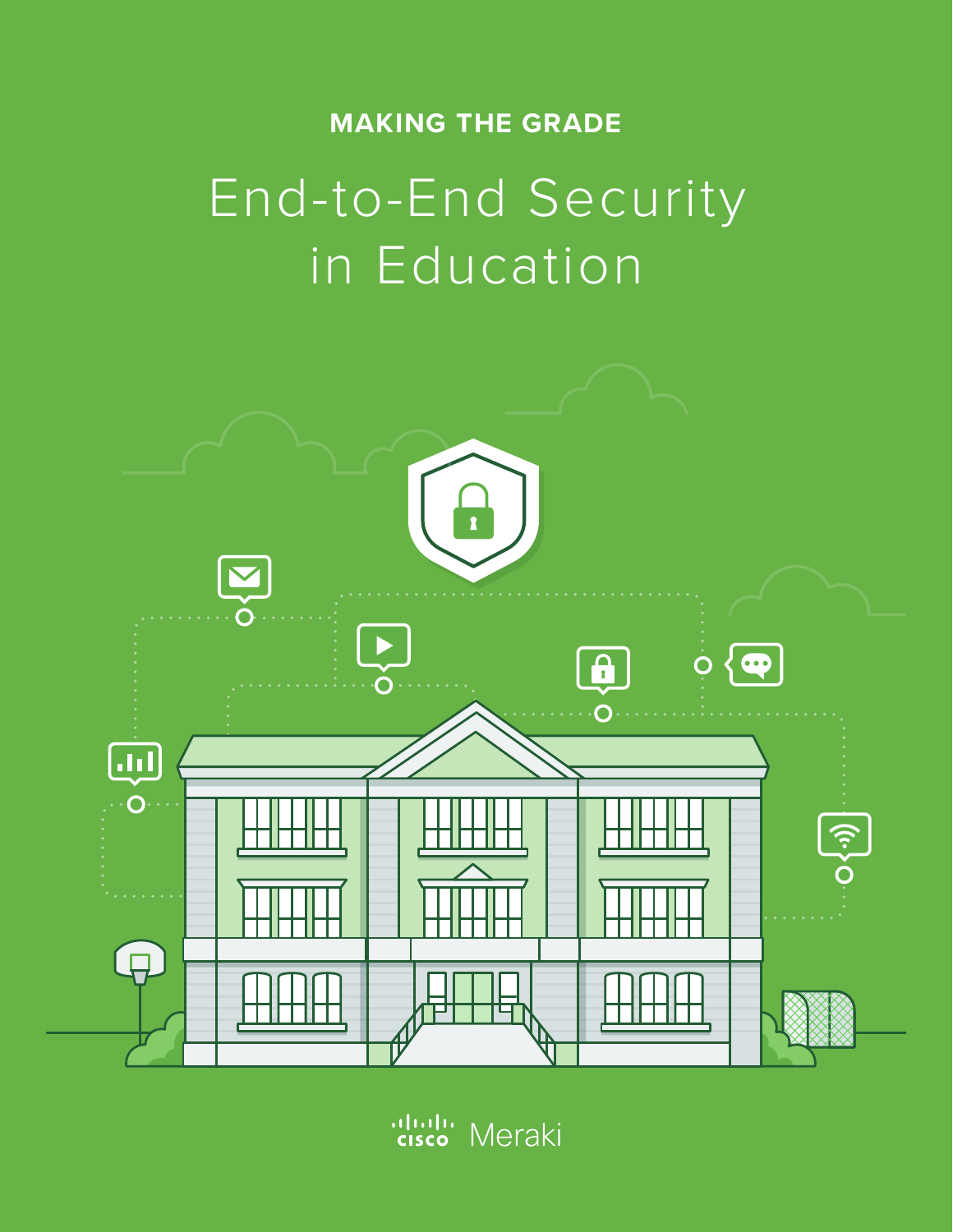# **MAKING THE GRADE**

# End-to-End Security in Education



aludu<br>|cisco Meraki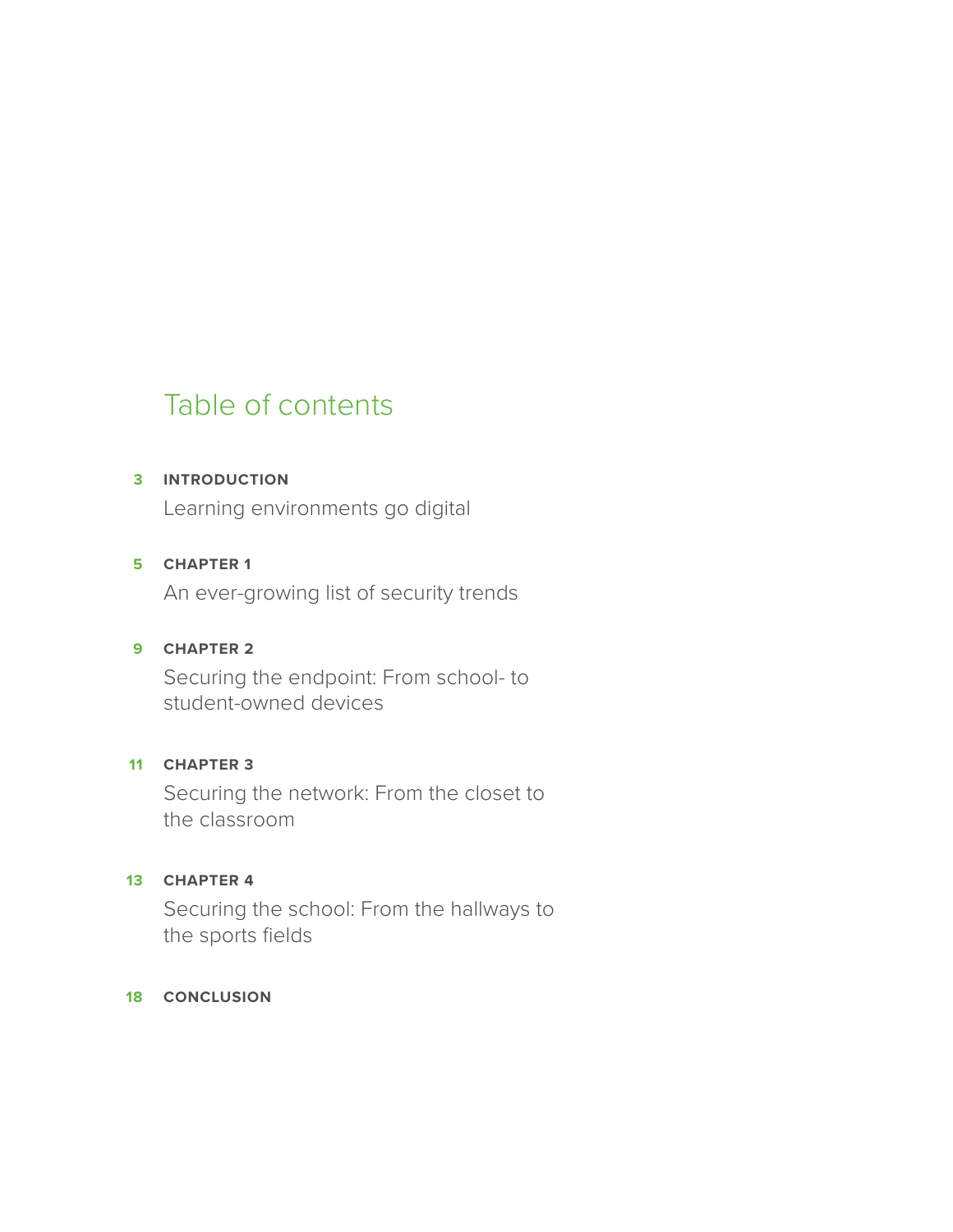# Table of contents

### **INTRODUCTION 3**

Learning environments go digital

### **CHAPTER 1 5**

An ever-growing list of security trends

#### **CHAPTER 2 9**

Securing the endpoint: From school- to student-owned devices

## **CHAPTER 3 11**

Securing the network: From the closet to the classroom

## **CHAPTER 4 13**

Securing the school: From the hallways to the sports fields

#### **18 CONCLUSION**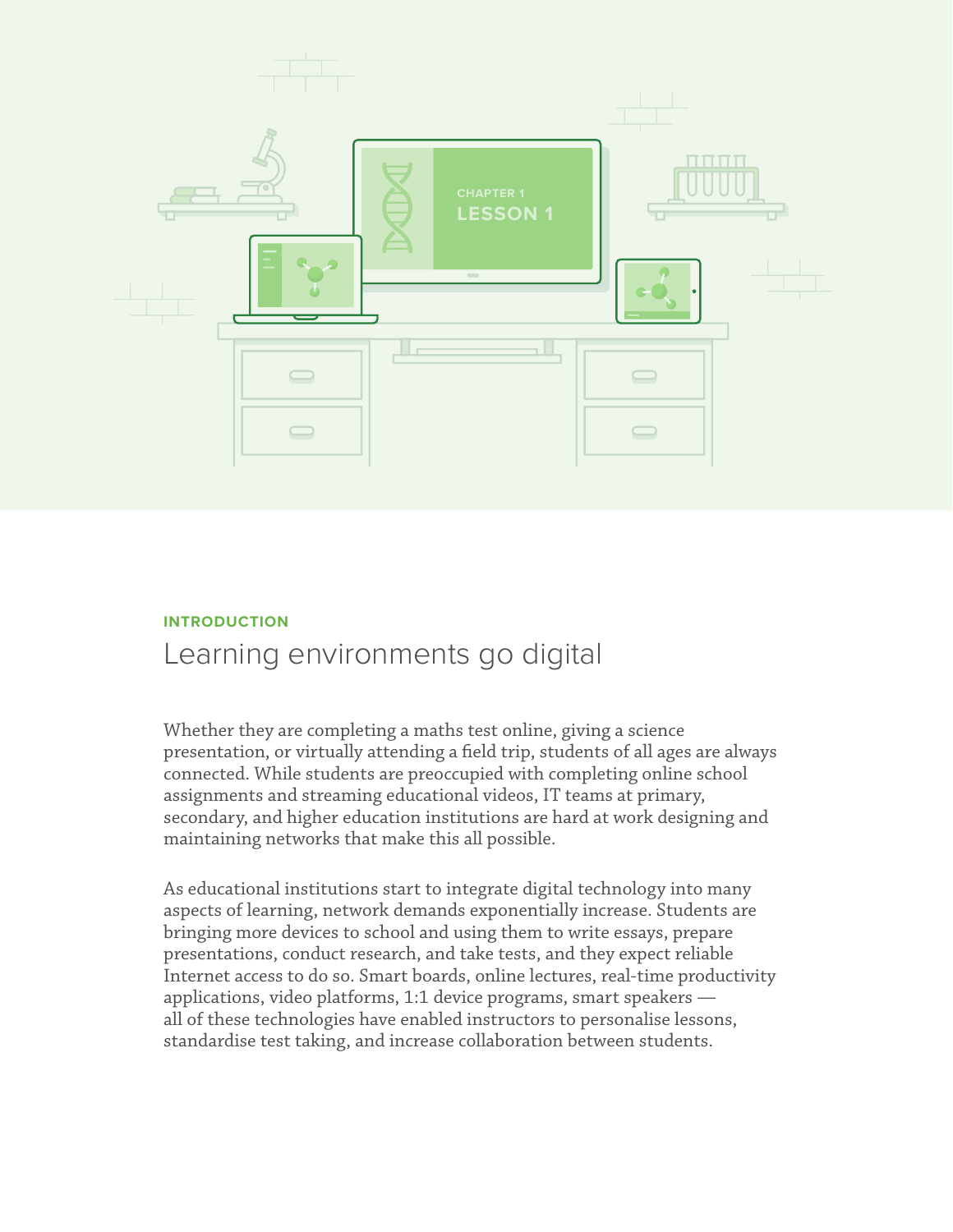

## **INTRODUCTION** Learning environments go digital

Whether they are completing a maths test online, giving a science presentation, or virtually attending a field trip, students of all ages are always connected. While students are preoccupied with completing online school assignments and streaming educational videos, IT teams at primary, secondary, and higher education institutions are hard at work designing and maintaining networks that make this all possible.

As educational institutions start to integrate digital technology into many aspects of learning, network demands exponentially increase. Students are bringing more devices to school and using them to write essays, prepare presentations, conduct research, and take tests, and they expect reliable Internet access to do so. Smart boards, online lectures, real-time productivity applications, video platforms, 1:1 device programs, smart speakers all of these technologies have enabled instructors to personalise lessons, standardise test taking, and increase collaboration between students.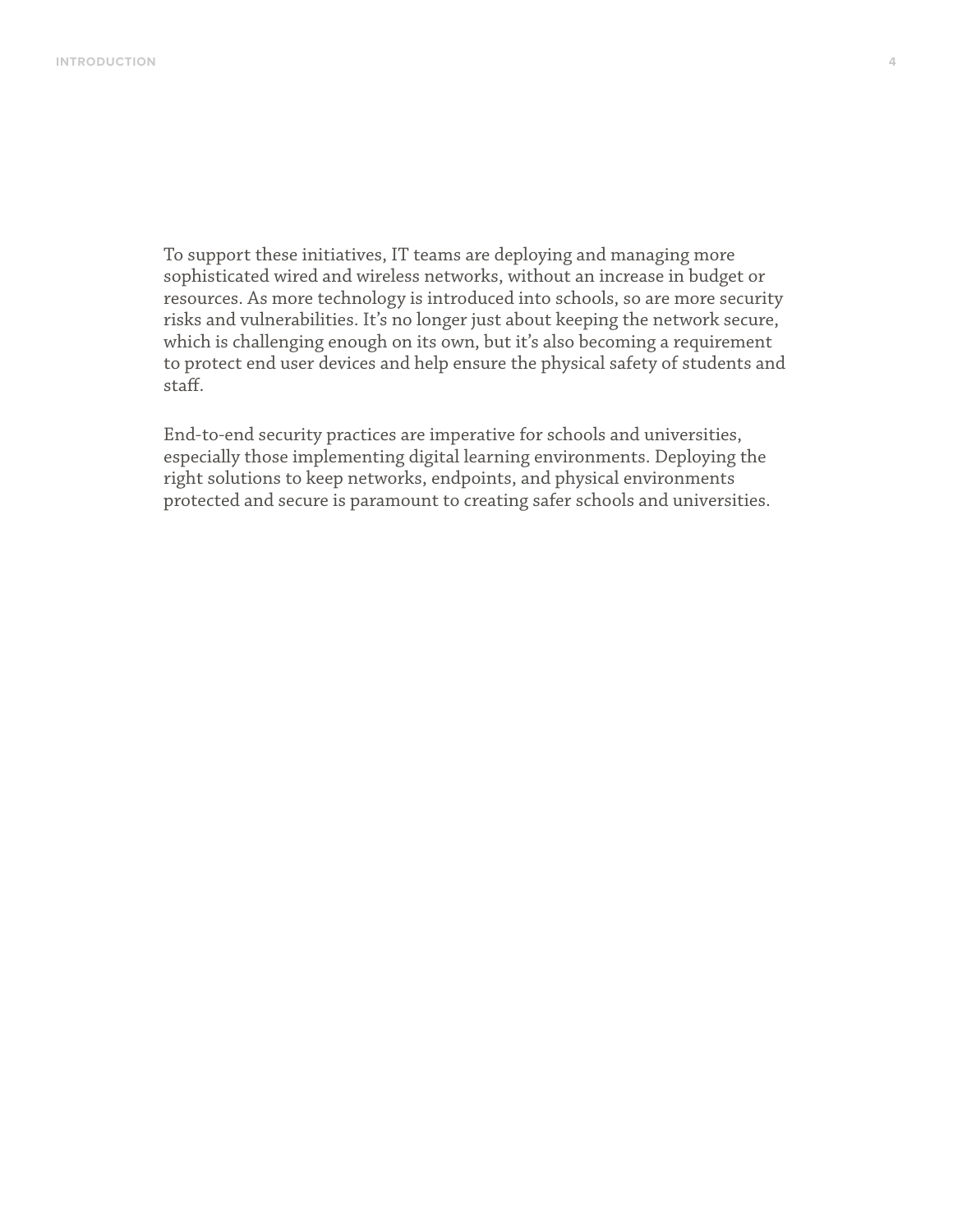To support these initiatives, IT teams are deploying and managing more sophisticated wired and wireless networks, without an increase in budget or resources. As more technology is introduced into schools, so are more security risks and vulnerabilities. It's no longer just about keeping the network secure, which is challenging enough on its own, but it's also becoming a requirement to protect end user devices and help ensure the physical safety of students and staff.

End-to-end security practices are imperative for schools and universities, especially those implementing digital learning environments. Deploying the right solutions to keep networks, endpoints, and physical environments protected and secure is paramount to creating safer schools and universities.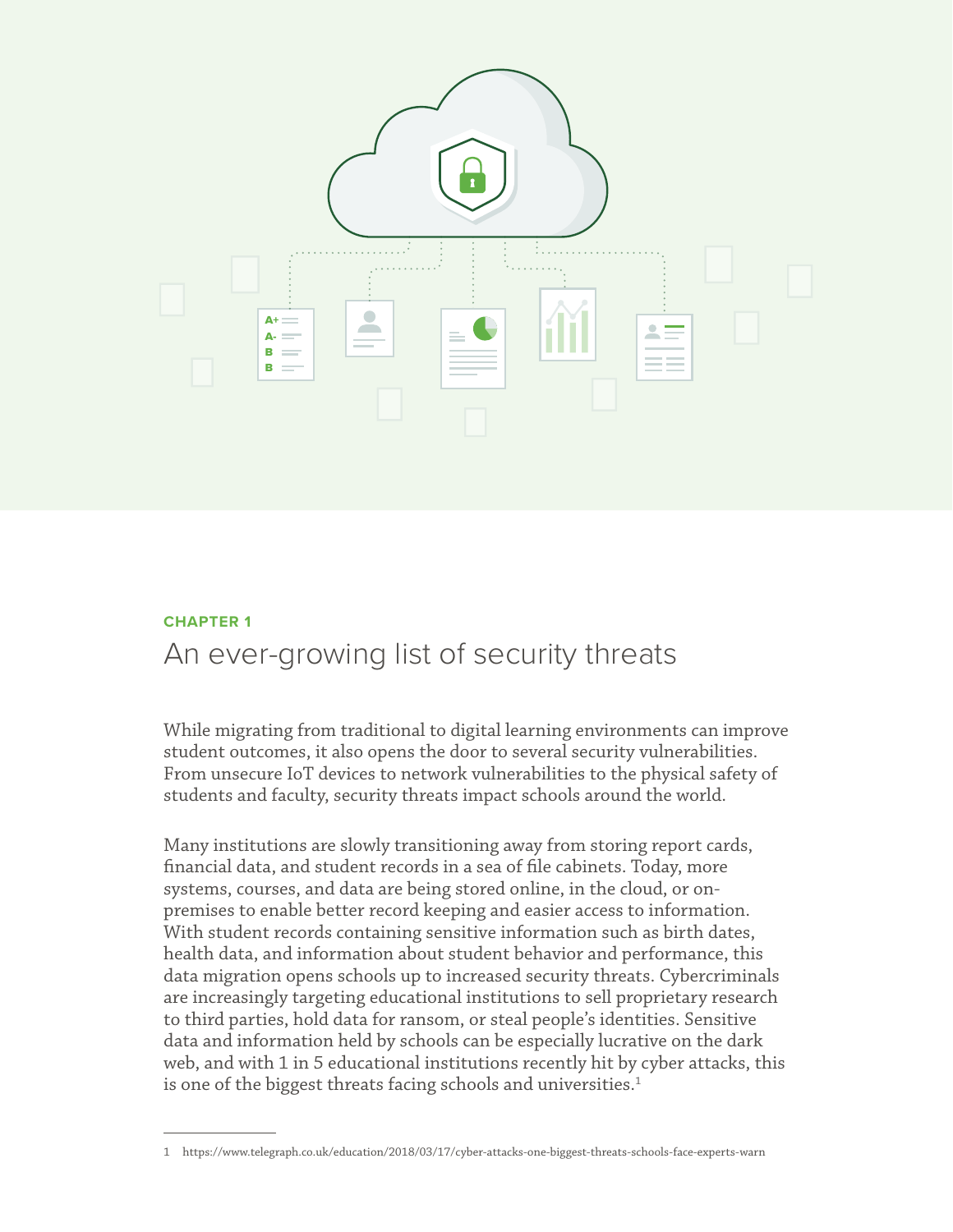

#### **CHAPTER 1**

## An ever-growing list of security threats

While migrating from traditional to digital learning environments can improve student outcomes, it also opens the door to several security vulnerabilities. From unsecure IoT devices to network vulnerabilities to the physical safety of students and faculty, security threats impact schools around the world.

Many institutions are slowly transitioning away from storing report cards, financial data, and student records in a sea of file cabinets. Today, more systems, courses, and data are being stored online, in the cloud, or onpremises to enable better record keeping and easier access to information. With student records containing sensitive information such as birth dates, health data, and information about student behavior and performance, this data migration opens schools up to increased security threats. Cybercriminals are increasingly targeting educational institutions to sell proprietary research to third parties, hold data for ransom, or steal people's identities. Sensitive data and information held by schools can be especially lucrative on the dark web, and with 1 in 5 educational institutions recently hit by cyber attacks, this is one of the biggest threats facing schools and universities.<sup>1</sup>

<sup>1</sup> https://www.telegraph.co.uk/education/2018/03/17/cyber-attacks-one-biggest-threats-schools-face-experts-warn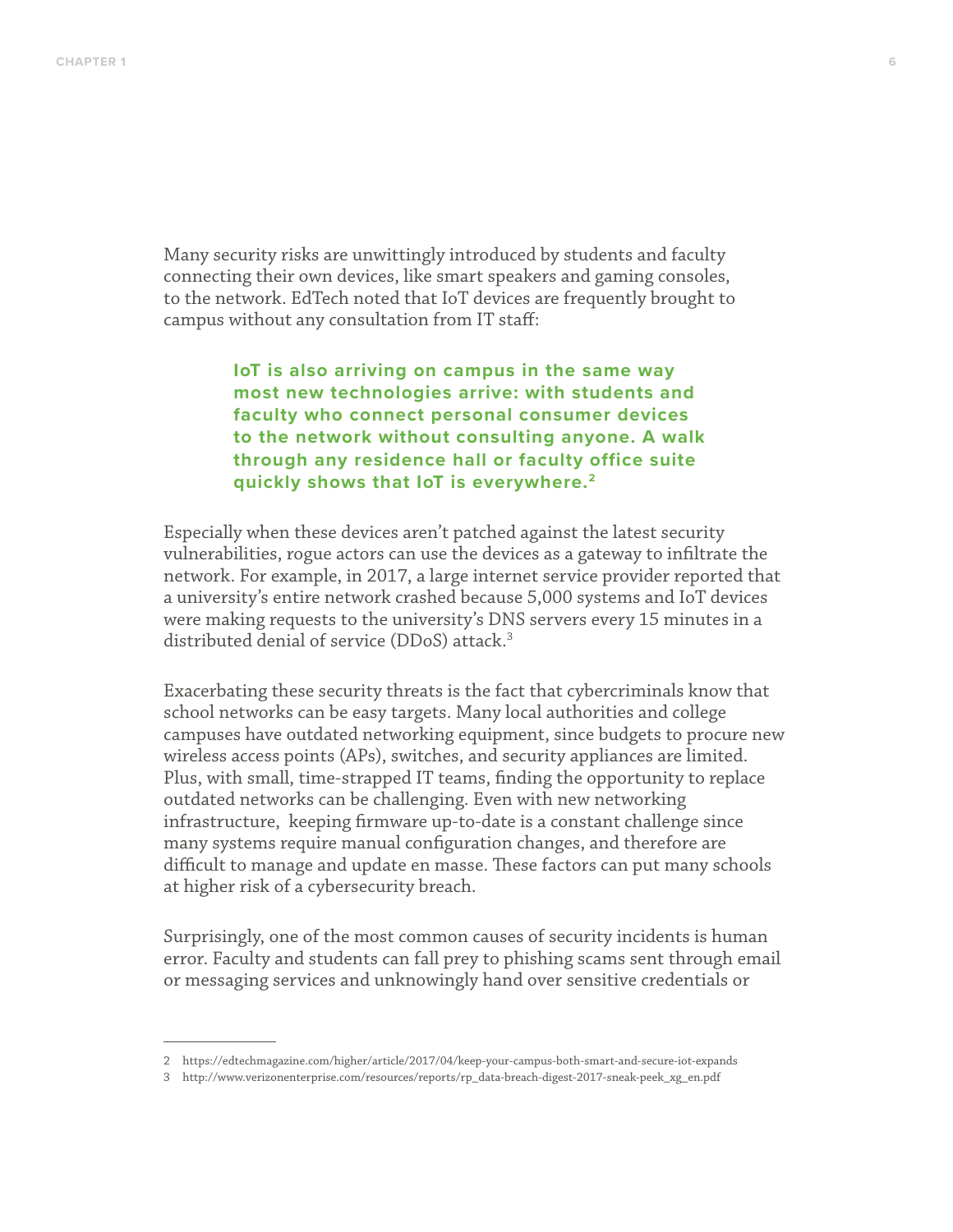Many security risks are unwittingly introduced by students and faculty connecting their own devices, like smart speakers and gaming consoles, to the network. EdTech noted that IoT devices are frequently brought to campus without any consultation from IT staff:

> **IoT is also arriving on campus in the same way most new technologies arrive: with students and faculty who connect personal consumer devices to the network without consulting anyone. A walk through any residence hall or faculty office suite quickly shows that IoT is everywhere.2**

Especially when these devices aren't patched against the latest security vulnerabilities, rogue actors can use the devices as a gateway to infiltrate the network. For example, in 2017, a large internet service provider reported that a university's entire network crashed because 5,000 systems and IoT devices were making requests to the university's DNS servers every 15 minutes in a distributed denial of service (DDoS) attack.<sup>3</sup>

Exacerbating these security threats is the fact that cybercriminals know that school networks can be easy targets. Many local authorities and college campuses have outdated networking equipment, since budgets to procure new wireless access points (APs), switches, and security appliances are limited. Plus, with small, time-strapped IT teams, finding the opportunity to replace outdated networks can be challenging. Even with new networking infrastructure, keeping firmware up-to-date is a constant challenge since many systems require manual configuration changes, and therefore are difficult to manage and update en masse. These factors can put many schools at higher risk of a cybersecurity breach.

Surprisingly, one of the most common causes of security incidents is human error. Faculty and students can fall prey to phishing scams sent through email or messaging services and unknowingly hand over sensitive credentials or

<sup>2</sup> https://edtechmagazine.com/higher/article/2017/04/keep-your-campus-both-smart-and-secure-iot-expands

<sup>3</sup> http://www.verizonenterprise.com/resources/reports/rp\_data-breach-digest-2017-sneak-peek\_xg\_en.pdf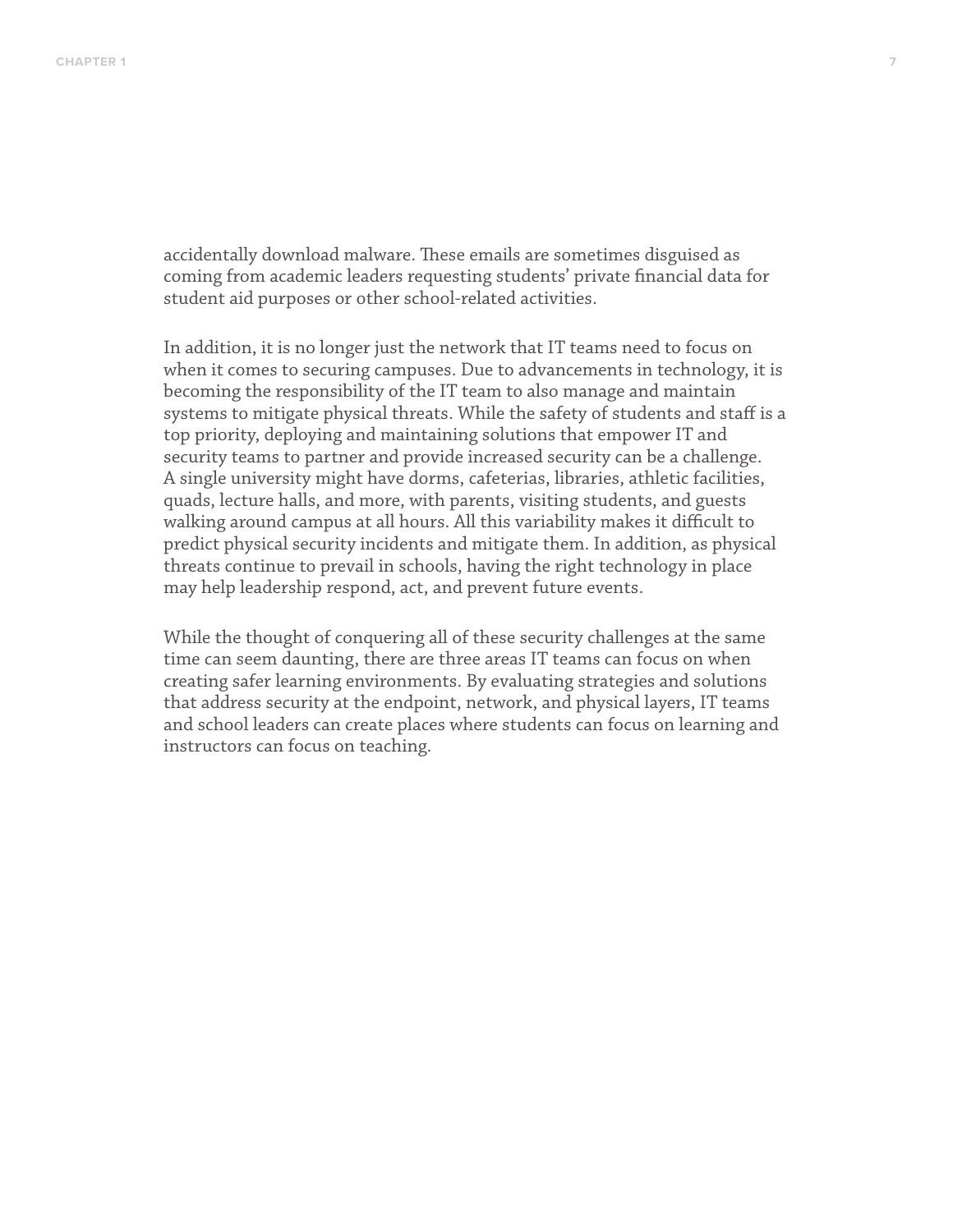accidentally download malware. These emails are sometimes disguised as coming from academic leaders requesting students' private financial data for student aid purposes or other school-related activities.

In addition, it is no longer just the network that IT teams need to focus on when it comes to securing campuses. Due to advancements in technology, it is becoming the responsibility of the IT team to also manage and maintain systems to mitigate physical threats. While the safety of students and staff is a top priority, deploying and maintaining solutions that empower IT and security teams to partner and provide increased security can be a challenge. A single university might have dorms, cafeterias, libraries, athletic facilities, quads, lecture halls, and more, with parents, visiting students, and guests walking around campus at all hours. All this variability makes it difficult to predict physical security incidents and mitigate them. In addition, as physical threats continue to prevail in schools, having the right technology in place may help leadership respond, act, and prevent future events.

While the thought of conquering all of these security challenges at the same time can seem daunting, there are three areas IT teams can focus on when creating safer learning environments. By evaluating strategies and solutions that address security at the endpoint, network, and physical layers, IT teams and school leaders can create places where students can focus on learning and instructors can focus on teaching.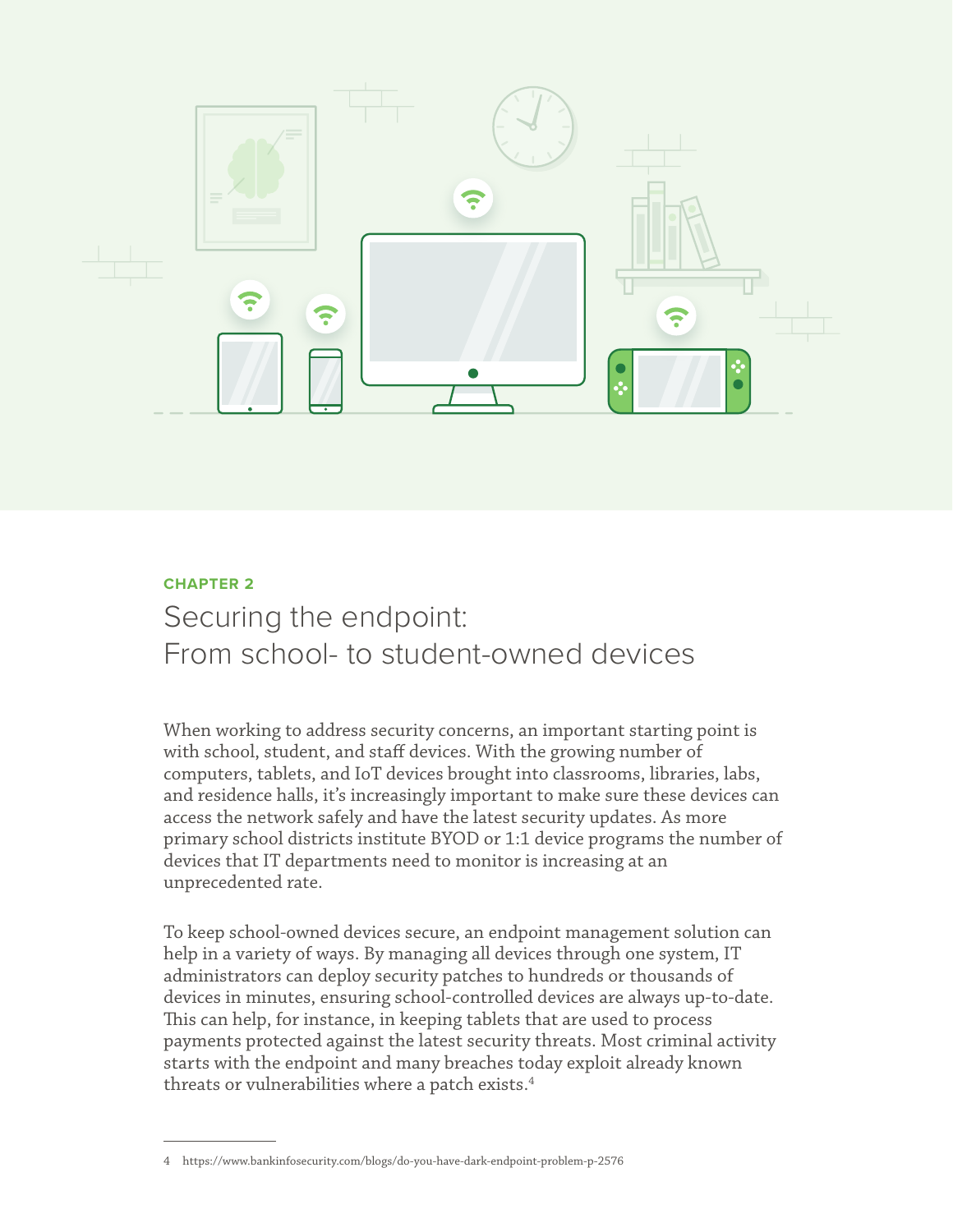

## **CHAPTER 2**

# Securing the endpoint: From school- to student-owned devices

When working to address security concerns, an important starting point is with school, student, and staff devices. With the growing number of computers, tablets, and IoT devices brought into classrooms, libraries, labs, and residence halls, it's increasingly important to make sure these devices can access the network safely and have the latest security updates. As more primary school districts institute BYOD or 1:1 device programs the number of devices that IT departments need to monitor is increasing at an unprecedented rate.

To keep school-owned devices secure, an endpoint management solution can help in a variety of ways. By managing all devices through one system, IT administrators can deploy security patches to hundreds or thousands of devices in minutes, ensuring school-controlled devices are always up-to-date. This can help, for instance, in keeping tablets that are used to process payments protected against the latest security threats. Most criminal activity starts with the endpoint and many breaches today exploit already known threats or vulnerabilities where a patch exists.4

<sup>4</sup> https://www.bankinfosecurity.com/blogs/do-you-have-dark-endpoint-problem-p-2576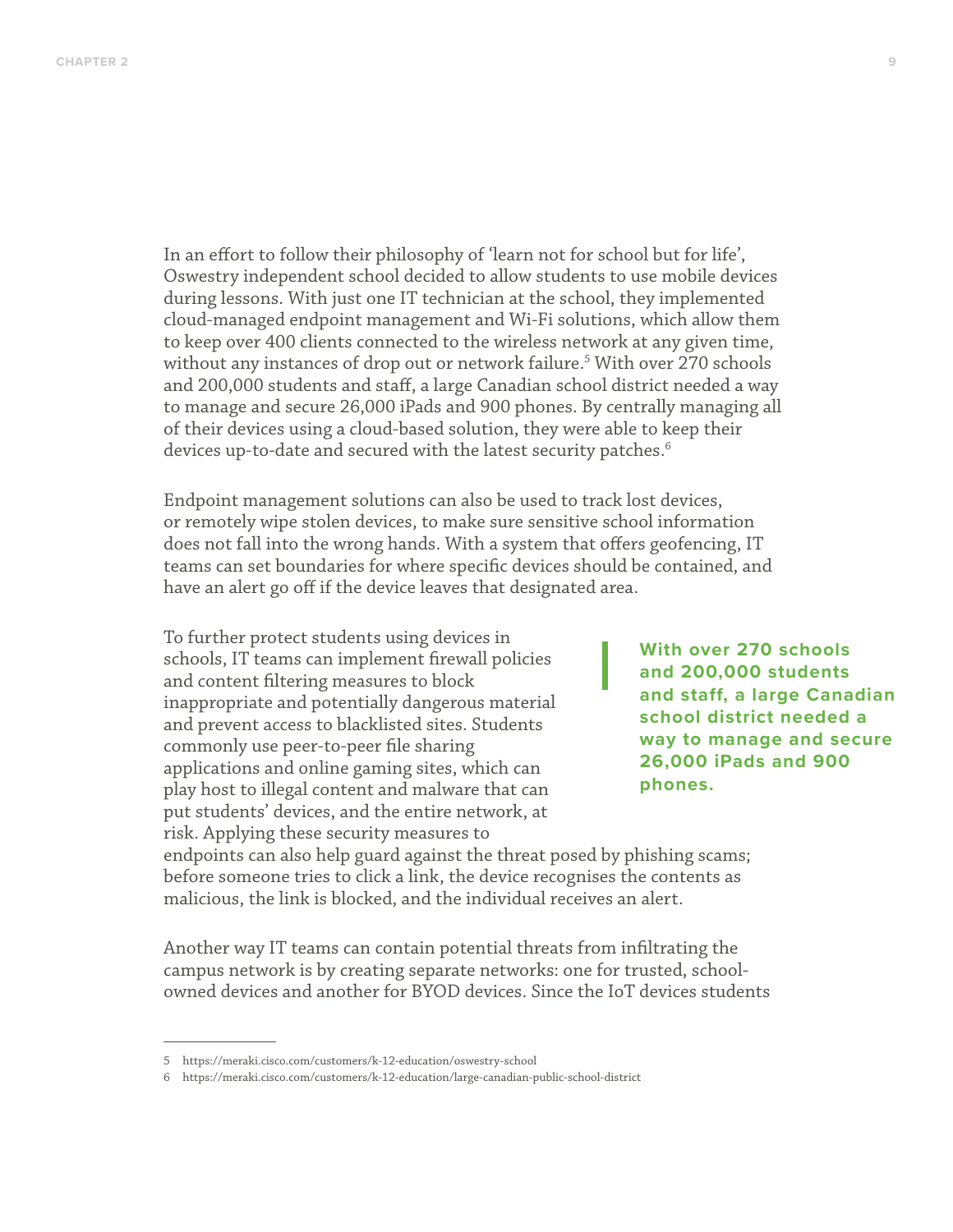In an effort to follow their philosophy of 'learn not for school but for life', Oswestry independent school decided to allow students to use mobile devices during lessons. With just one IT technician at the school, they implemented cloud-managed endpoint management and Wi-Fi solutions, which allow them to keep over 400 clients connected to the wireless network at any given time, without any instances of drop out or network failure.5 With over 270 schools and 200,000 students and staff, a large Canadian school district needed a way to manage and secure 26,000 iPads and 900 phones. By centrally managing all of their devices using a cloud-based solution, they were able to keep their devices up-to-date and secured with the latest security patches.<sup>6</sup>

Endpoint management solutions can also be used to track lost devices, or remotely wipe stolen devices, to make sure sensitive school information does not fall into the wrong hands. With a system that offers geofencing, IT teams can set boundaries for where specific devices should be contained, and have an alert go off if the device leaves that designated area.

To further protect students using devices in schools, IT teams can implement firewall policies and content filtering measures to block inappropriate and potentially dangerous material and prevent access to blacklisted sites. Students commonly use peer-to-peer file sharing applications and online gaming sites, which can play host to illegal content and malware that can put students' devices, and the entire network, at risk. Applying these security measures to

**With over 270 schools and 200,000 students and staff, a large Canadian school district needed a way to manage and secure 26,000 iPads and 900 phones.**

endpoints can also help guard against the threat posed by phishing scams; before someone tries to click a link, the device recognises the contents as malicious, the link is blocked, and the individual receives an alert.

Another way IT teams can contain potential threats from infiltrating the campus network is by creating separate networks: one for trusted, schoolowned devices and another for BYOD devices. Since the IoT devices students

<sup>5</sup> https://meraki.cisco.com/customers/k-12-education/oswestry-school

<sup>6</sup> https://meraki.cisco.com/customers/k-12-education/large-canadian-public-school-district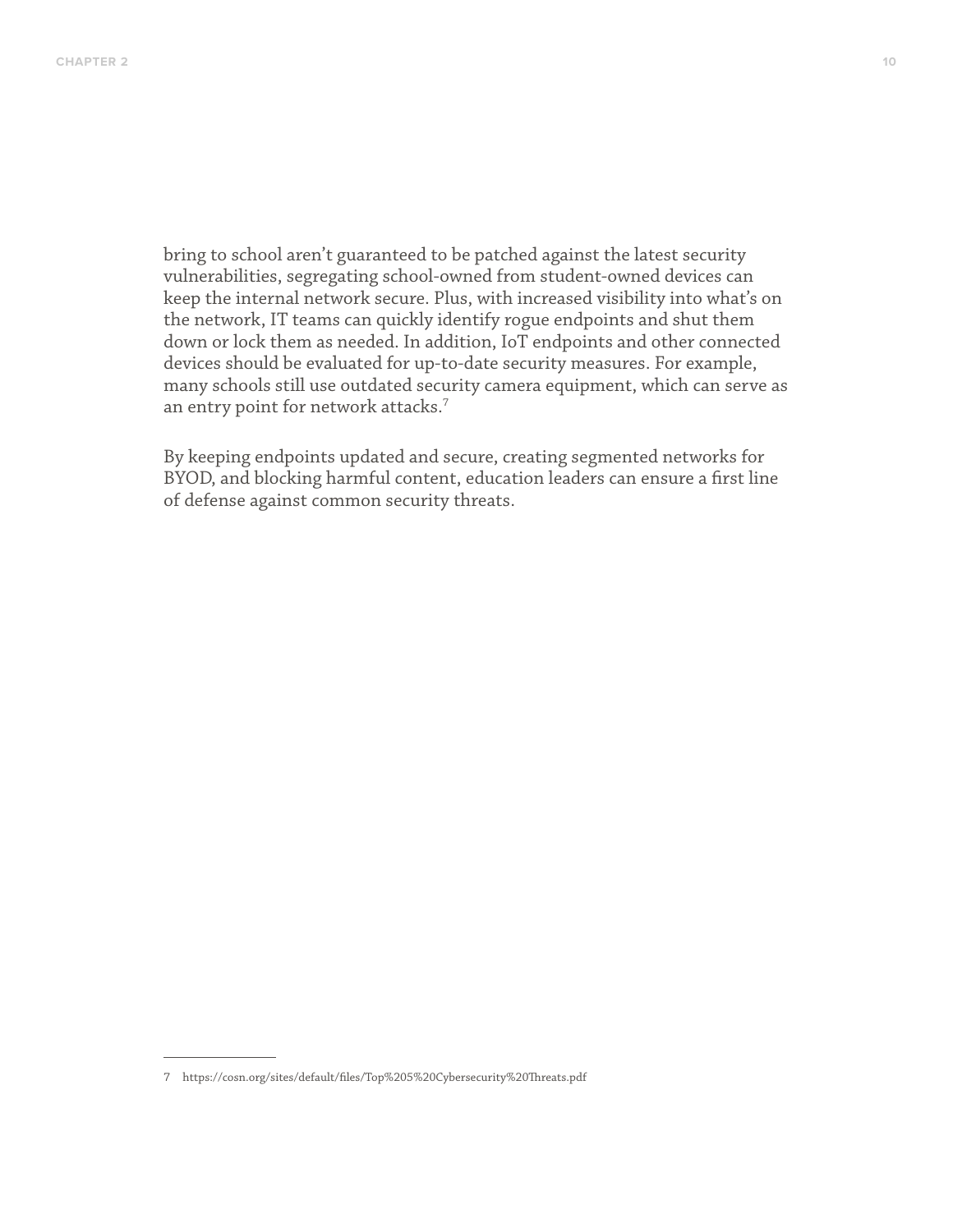bring to school aren't guaranteed to be patched against the latest security vulnerabilities, segregating school-owned from student-owned devices can keep the internal network secure. Plus, with increased visibility into what's on the network, IT teams can quickly identify rogue endpoints and shut them down or lock them as needed. In addition, IoT endpoints and other connected devices should be evaluated for up-to-date security measures. For example, many schools still use outdated security camera equipment, which can serve as an entry point for network attacks.<sup>7</sup>

By keeping endpoints updated and secure, creating segmented networks for BYOD, and blocking harmful content, education leaders can ensure a first line of defense against common security threats.

<sup>7</sup> https://cosn.org/sites/default/files/Top%205%20Cybersecurity%20Threats.pdf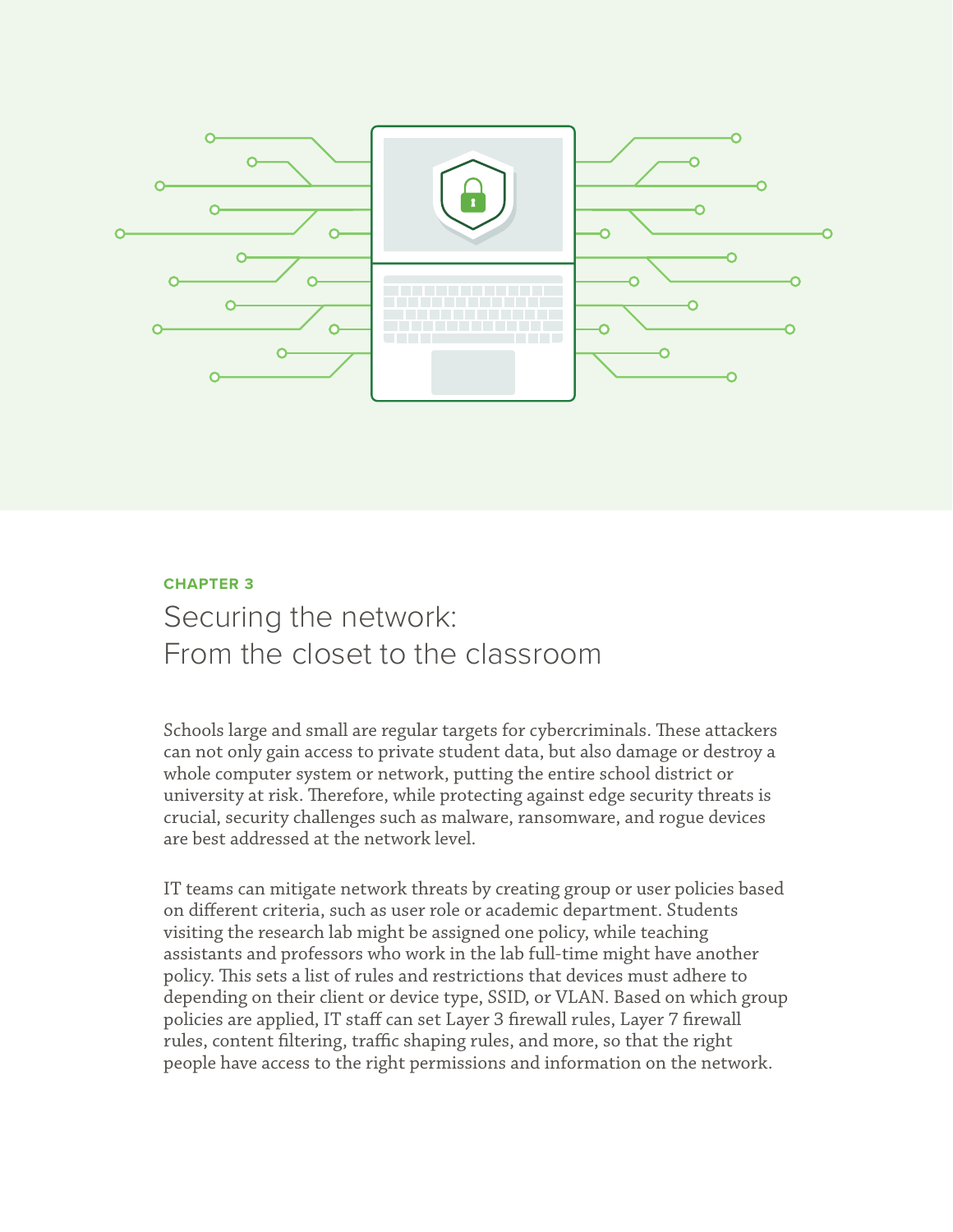

## **CHAPTER 3** Securing the network: From the closet to the classroom

Schools large and small are regular targets for cybercriminals. These attackers can not only gain access to private student data, but also damage or destroy a whole computer system or network, putting the entire school district or university at risk. Therefore, while protecting against edge security threats is crucial, security challenges such as malware, ransomware, and rogue devices are best addressed at the network level.

IT teams can mitigate network threats by creating group or user policies based on different criteria, such as user role or academic department. Students visiting the research lab might be assigned one policy, while teaching assistants and professors who work in the lab full-time might have another policy. This sets a list of rules and restrictions that devices must adhere to depending on their client or device type, SSID, or VLAN. Based on which group policies are applied, IT staff can set Layer 3 firewall rules, Layer 7 firewall rules, content filtering, traffic shaping rules, and more, so that the right people have access to the right permissions and information on the network.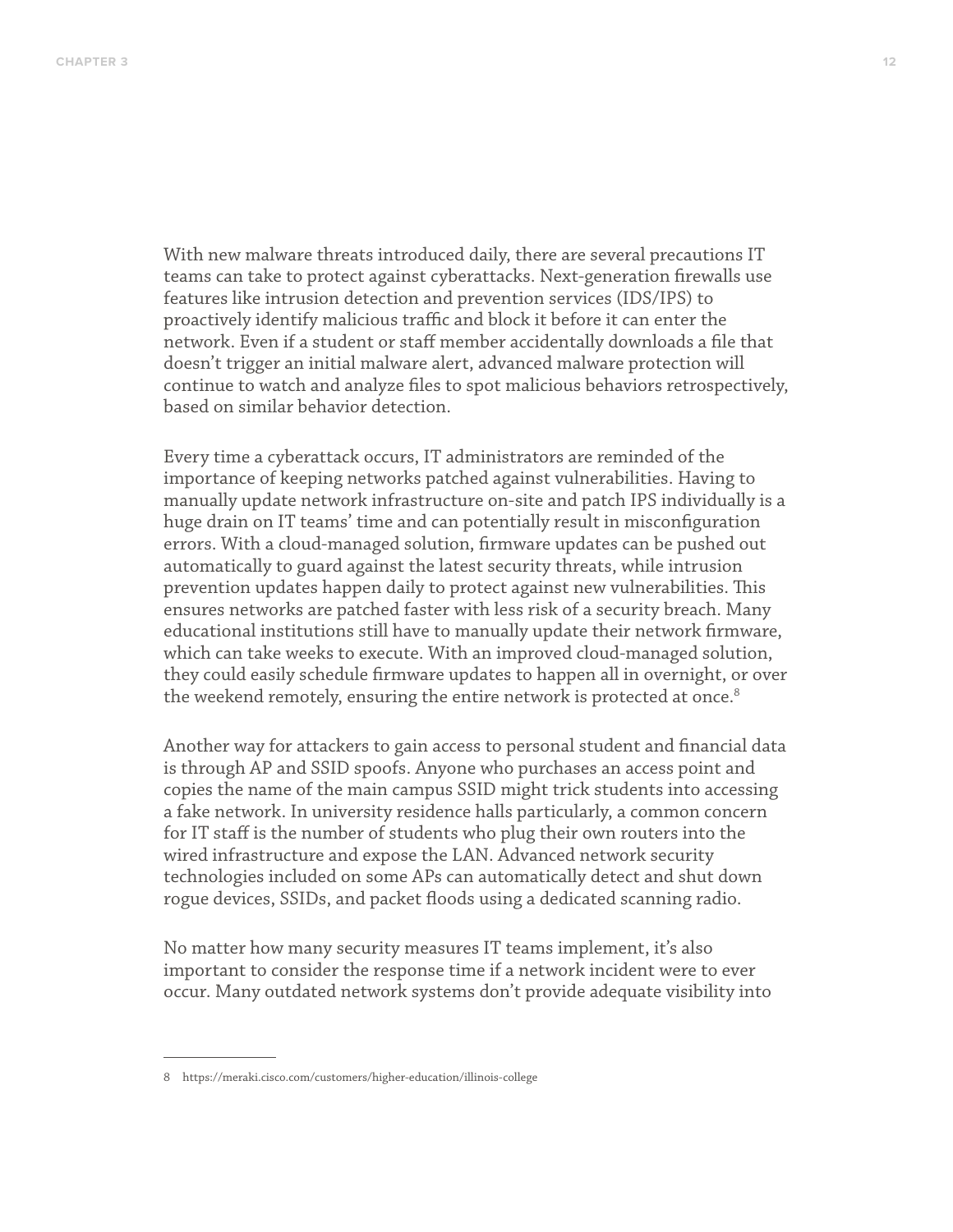With new malware threats introduced daily, there are several precautions IT teams can take to protect against cyberattacks. Next-generation firewalls use features like intrusion detection and prevention services (IDS/IPS) to proactively identify malicious traffic and block it before it can enter the network. Even if a student or staff member accidentally downloads a file that doesn't trigger an initial malware alert, advanced malware protection will continue to watch and analyze files to spot malicious behaviors retrospectively, based on similar behavior detection.

Every time a cyberattack occurs, IT administrators are reminded of the importance of keeping networks patched against vulnerabilities. Having to manually update network infrastructure on-site and patch IPS individually is a huge drain on IT teams' time and can potentially result in misconfiguration errors. With a cloud-managed solution, firmware updates can be pushed out automatically to guard against the latest security threats, while intrusion prevention updates happen daily to protect against new vulnerabilities. This ensures networks are patched faster with less risk of a security breach. Many educational institutions still have to manually update their network firmware, which can take weeks to execute. With an improved cloud-managed solution, they could easily schedule firmware updates to happen all in overnight, or over the weekend remotely, ensuring the entire network is protected at once.<sup>8</sup>

Another way for attackers to gain access to personal student and financial data is through AP and SSID spoofs. Anyone who purchases an access point and copies the name of the main campus SSID might trick students into accessing a fake network. In university residence halls particularly, a common concern for IT staff is the number of students who plug their own routers into the wired infrastructure and expose the LAN. Advanced network security technologies included on some APs can automatically detect and shut down rogue devices, SSIDs, and packet floods using a dedicated scanning radio.

No matter how many security measures IT teams implement, it's also important to consider the response time if a network incident were to ever occur. Many outdated network systems don't provide adequate visibility into

<sup>8</sup> https://meraki.cisco.com/customers/higher-education/illinois-college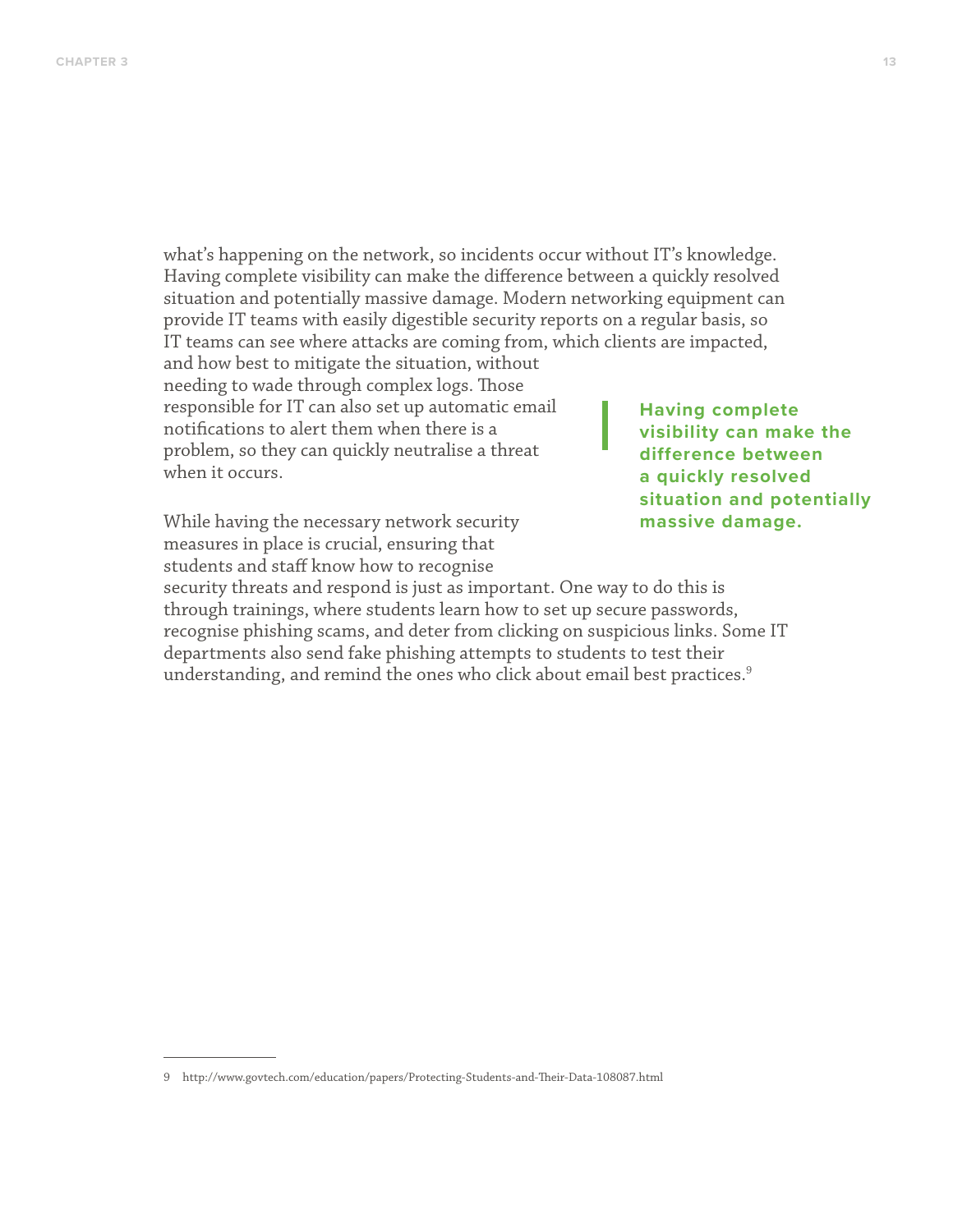what's happening on the network, so incidents occur without IT's knowledge. Having complete visibility can make the difference between a quickly resolved situation and potentially massive damage. Modern networking equipment can provide IT teams with easily digestible security reports on a regular basis, so IT teams can see where attacks are coming from, which clients are impacted,

and how best to mitigate the situation, without needing to wade through complex logs. Those responsible for IT can also set up automatic email notifications to alert them when there is a problem, so they can quickly neutralise a threat when it occurs.

While having the necessary network security measures in place is crucial, ensuring that students and staff know how to recognise

**Having complete visibility can make the difference between a quickly resolved situation and potentially massive damage.**

security threats and respond is just as important. One way to do this is through trainings, where students learn how to set up secure passwords, recognise phishing scams, and deter from clicking on suspicious links. Some IT departments also send fake phishing attempts to students to test their understanding, and remind the ones who click about email best practices.<sup>9</sup>

<sup>9</sup> http://www.govtech.com/education/papers/Protecting-Students-and-Their-Data-108087.html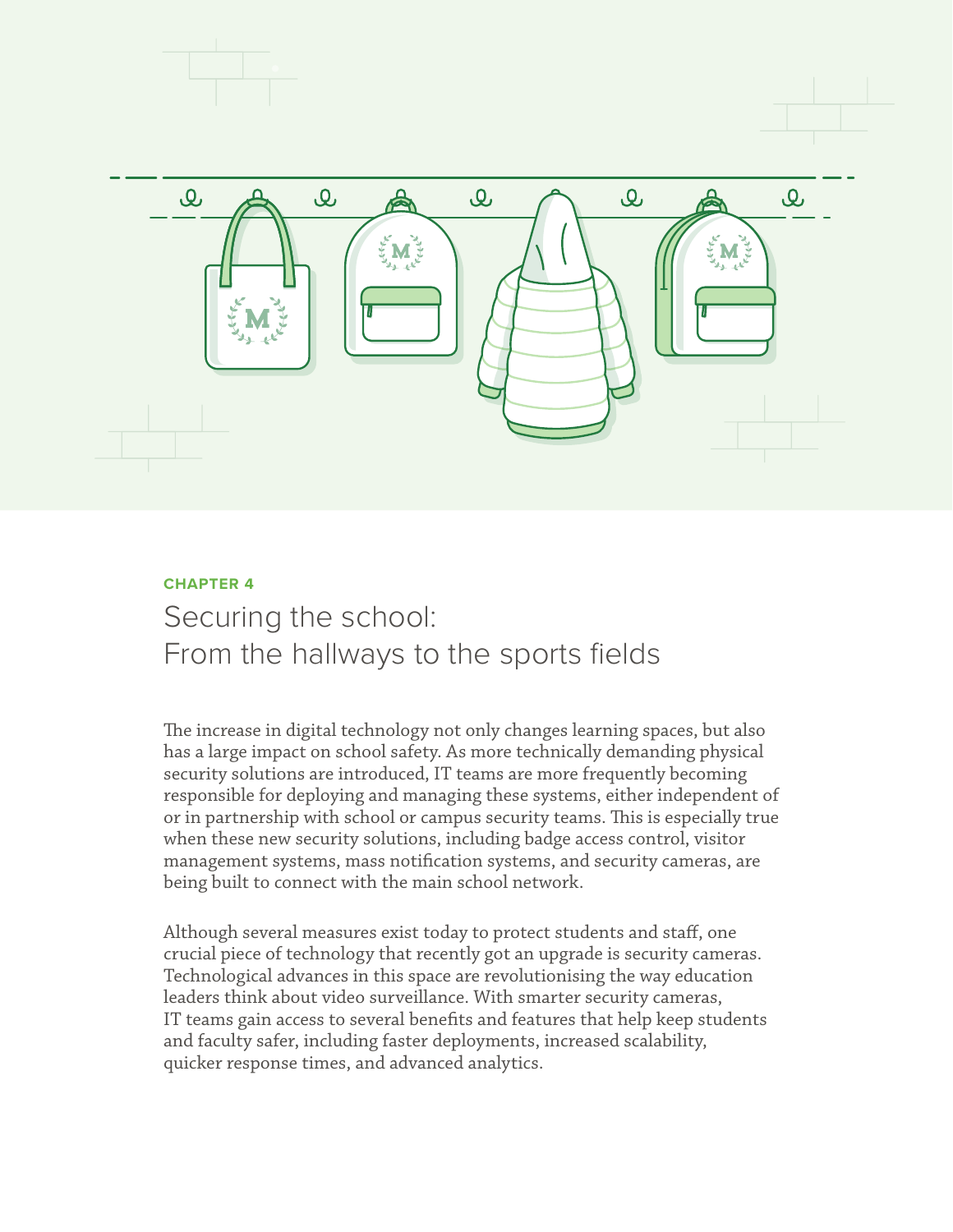

## **CHAPTER 4** Securing the school: From the hallways to the sports fields

The increase in digital technology not only changes learning spaces, but also has a large impact on school safety. As more technically demanding physical security solutions are introduced, IT teams are more frequently becoming responsible for deploying and managing these systems, either independent of or in partnership with school or campus security teams. This is especially true when these new security solutions, including badge access control, visitor management systems, mass notification systems, and security cameras, are being built to connect with the main school network.

Although several measures exist today to protect students and staff, one crucial piece of technology that recently got an upgrade is security cameras. Technological advances in this space are revolutionising the way education leaders think about video surveillance. With smarter security cameras, IT teams gain access to several benefits and features that help keep students and faculty safer, including faster deployments, increased scalability, quicker response times, and advanced analytics.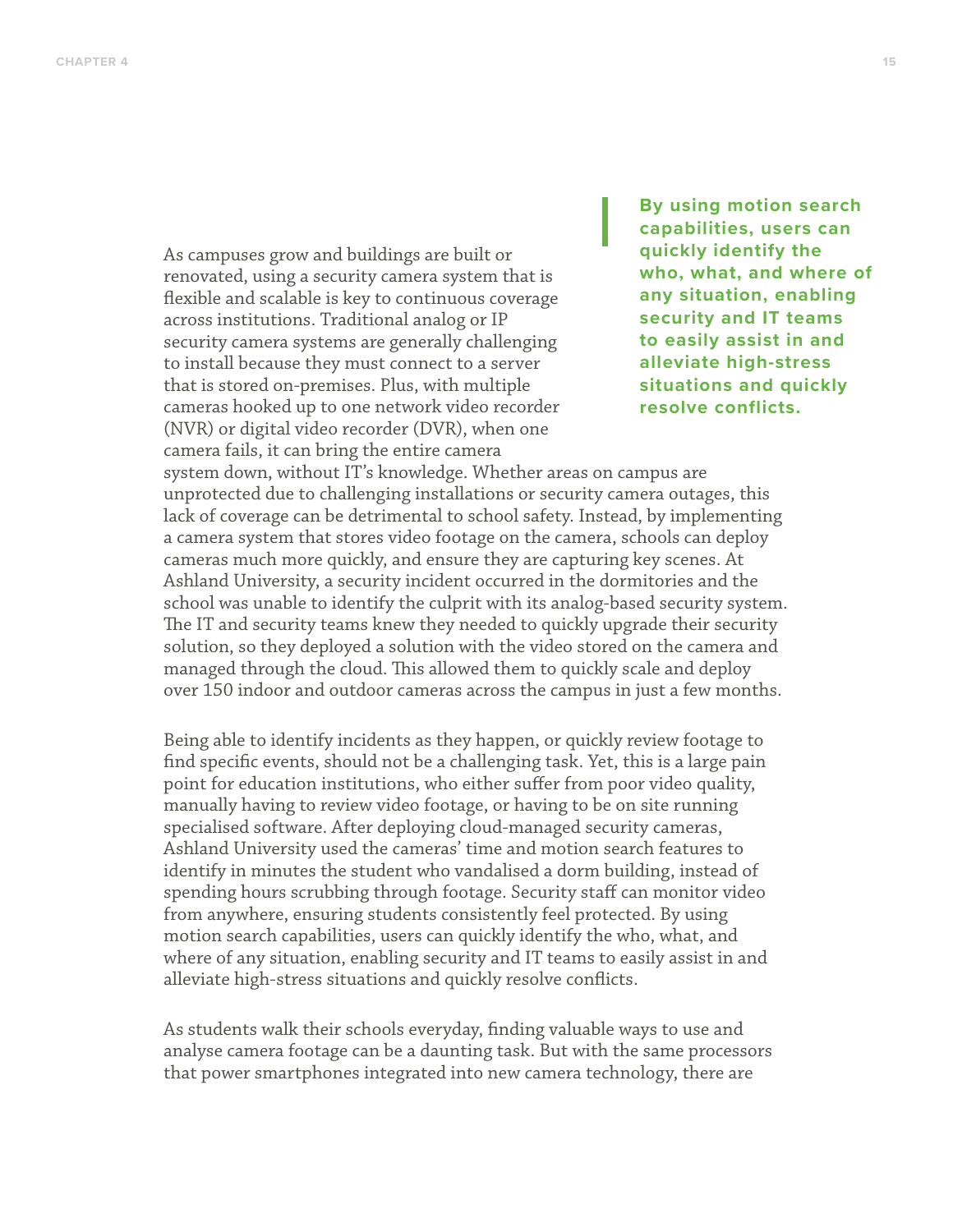As campuses grow and buildings are built or renovated, using a security camera system that is flexible and scalable is key to continuous coverage across institutions. Traditional analog or IP security camera systems are generally challenging to install because they must connect to a server that is stored on-premises. Plus, with multiple cameras hooked up to one network video recorder (NVR) or digital video recorder (DVR), when one camera fails, it can bring the entire camera

**By using motion search capabilities, users can quickly identify the who, what, and where of any situation, enabling security and IT teams to easily assist in and alleviate high-stress situations and quickly resolve conflicts.**

system down, without IT's knowledge. Whether areas on campus are unprotected due to challenging installations or security camera outages, this lack of coverage can be detrimental to school safety. Instead, by implementing a camera system that stores video footage on the camera, schools can deploy cameras much more quickly, and ensure they are capturing key scenes. At Ashland University, a security incident occurred in the dormitories and the school was unable to identify the culprit with its analog-based security system. The IT and security teams knew they needed to quickly upgrade their security solution, so they deployed a solution with the video stored on the camera and managed through the cloud. This allowed them to quickly scale and deploy over 150 indoor and outdoor cameras across the campus in just a few months.

Being able to identify incidents as they happen, or quickly review footage to find specific events, should not be a challenging task. Yet, this is a large pain point for education institutions, who either suffer from poor video quality, manually having to review video footage, or having to be on site running specialised software. After deploying cloud-managed security cameras, Ashland University used the cameras' time and motion search features to identify in minutes the student who vandalised a dorm building, instead of spending hours scrubbing through footage. Security staff can monitor video from anywhere, ensuring students consistently feel protected. By using motion search capabilities, users can quickly identify the who, what, and where of any situation, enabling security and IT teams to easily assist in and alleviate high-stress situations and quickly resolve conflicts.

As students walk their schools everyday, finding valuable ways to use and analyse camera footage can be a daunting task. But with the same processors that power smartphones integrated into new camera technology, there are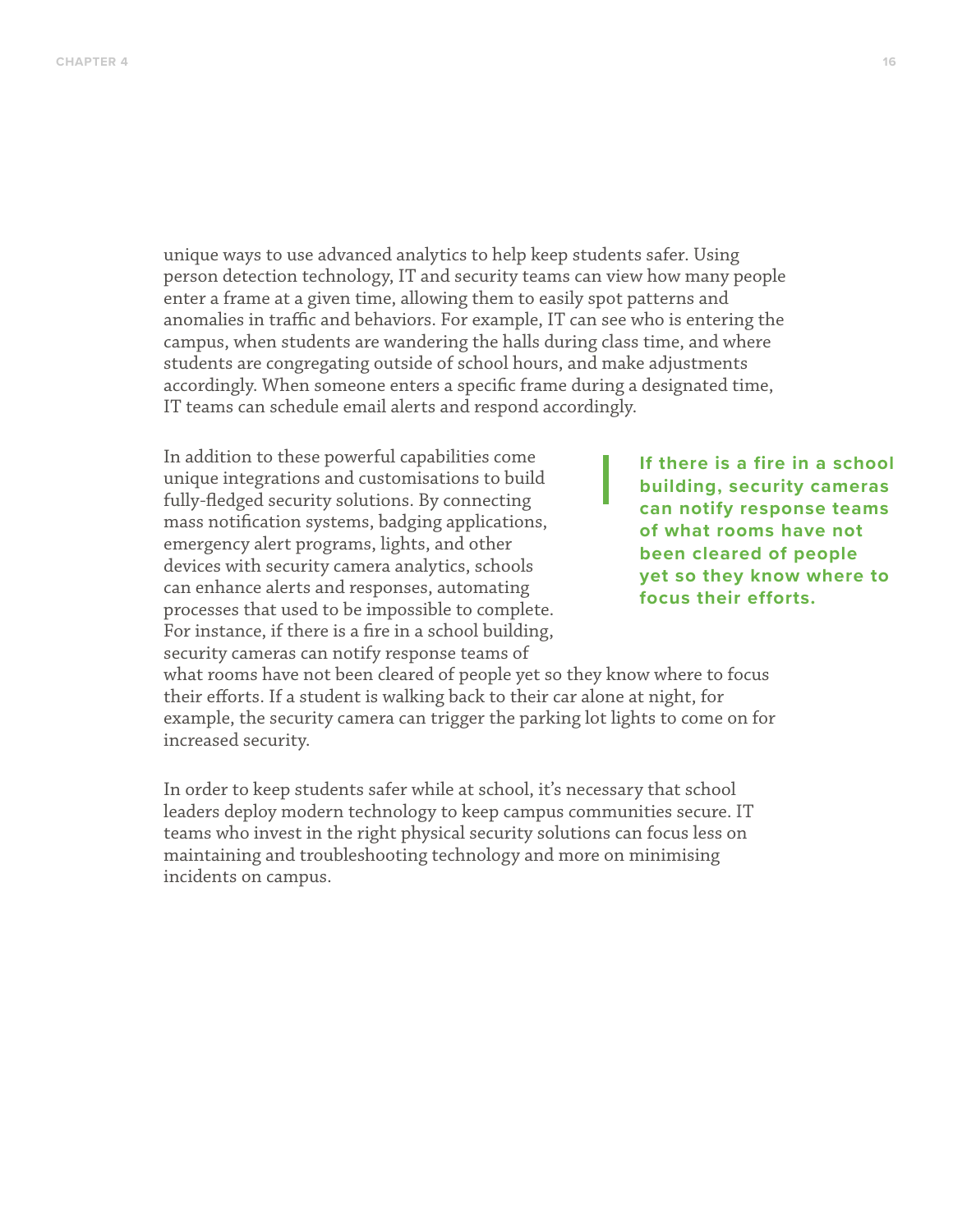unique ways to use advanced analytics to help keep students safer. Using person detection technology, IT and security teams can view how many people enter a frame at a given time, allowing them to easily spot patterns and anomalies in traffic and behaviors. For example, IT can see who is entering the campus, when students are wandering the halls during class time, and where students are congregating outside of school hours, and make adjustments accordingly. When someone enters a specific frame during a designated time, IT teams can schedule email alerts and respond accordingly.

In addition to these powerful capabilities come unique integrations and customisations to build fully-fledged security solutions. By connecting mass notification systems, badging applications, emergency alert programs, lights, and other devices with security camera analytics, schools can enhance alerts and responses, automating processes that used to be impossible to complete. For instance, if there is a fire in a school building, security cameras can notify response teams of

**If there is a fire in a school building, security cameras can notify response teams of what rooms have not been cleared of people yet so they know where to focus their efforts.**

what rooms have not been cleared of people yet so they know where to focus their efforts. If a student is walking back to their car alone at night, for example, the security camera can trigger the parking lot lights to come on for increased security.

In order to keep students safer while at school, it's necessary that school leaders deploy modern technology to keep campus communities secure. IT teams who invest in the right physical security solutions can focus less on maintaining and troubleshooting technology and more on minimising incidents on campus.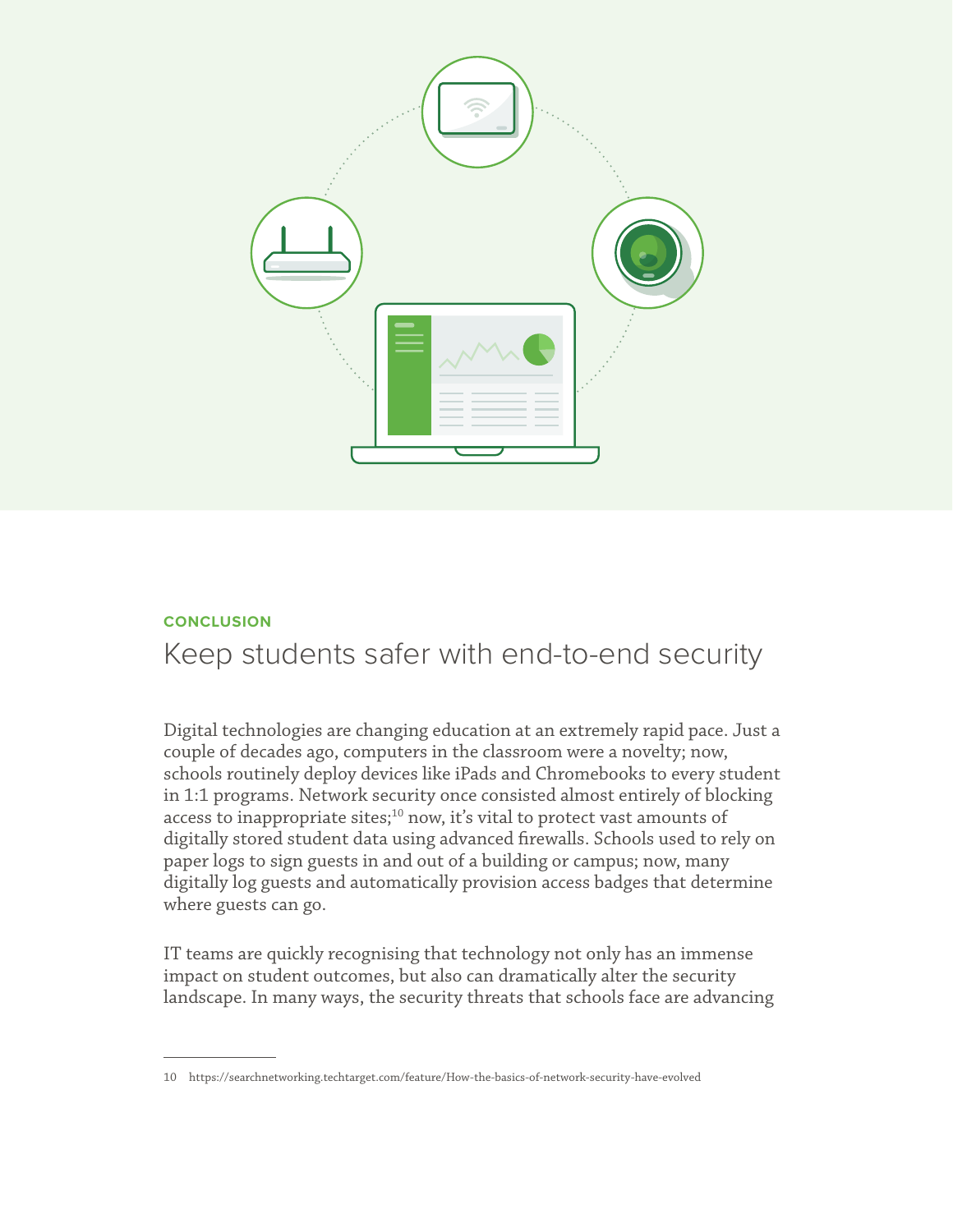

## **CONCLUSION**

# Keep students safer with end-to-end security

Digital technologies are changing education at an extremely rapid pace. Just a couple of decades ago, computers in the classroom were a novelty; now, schools routinely deploy devices like iPads and Chromebooks to every student in 1:1 programs. Network security once consisted almost entirely of blocking access to inappropriate sites; $^{10}$  now, it's vital to protect vast amounts of digitally stored student data using advanced firewalls. Schools used to rely on paper logs to sign guests in and out of a building or campus; now, many digitally log guests and automatically provision access badges that determine where guests can go.

IT teams are quickly recognising that technology not only has an immense impact on student outcomes, but also can dramatically alter the security landscape. In many ways, the security threats that schools face are advancing

<sup>10</sup> https://searchnetworking.techtarget.com/feature/How-the-basics-of-network-security-have-evolved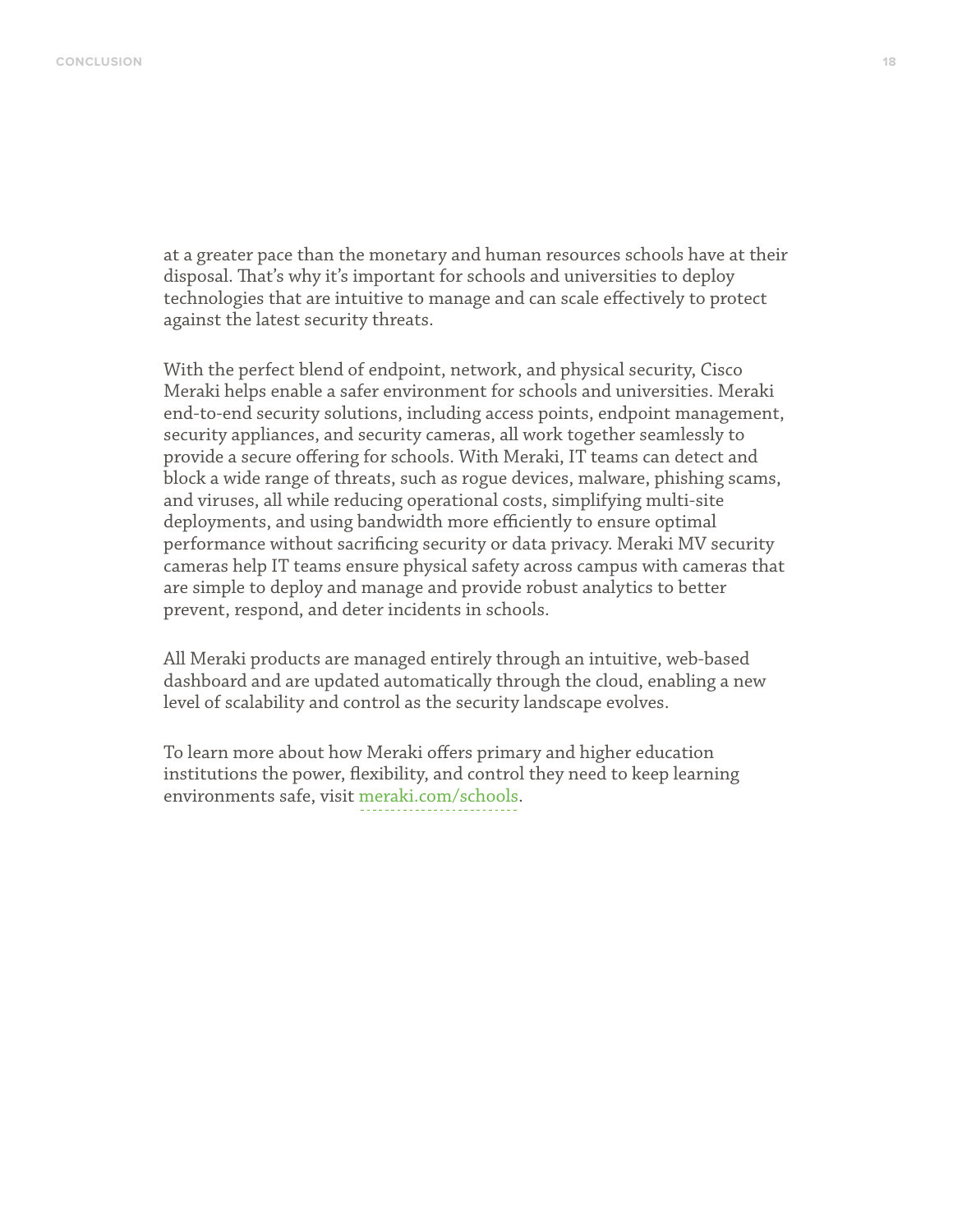at a greater pace than the monetary and human resources schools have at their disposal. That's why it's important for schools and universities to deploy technologies that are intuitive to manage and can scale effectively to protect against the latest security threats.

With the perfect blend of endpoint, network, and physical security, Cisco Meraki helps enable a safer environment for schools and universities. Meraki end-to-end security solutions, including access points, endpoint management, security appliances, and security cameras, all work together seamlessly to provide a secure offering for schools. With Meraki, IT teams can detect and block a wide range of threats, such as rogue devices, malware, phishing scams, and viruses, all while reducing operational costs, simplifying multi-site deployments, and using bandwidth more efficiently to ensure optimal performance without sacrificing security or data privacy. Meraki MV security cameras help IT teams ensure physical safety across campus with cameras that are simple to deploy and manage and provide robust analytics to better prevent, respond, and deter incidents in schools.

All Meraki products are managed entirely through an intuitive, web-based dashboard and are updated automatically through the cloud, enabling a new level of scalability and control as the security landscape evolves.

To learn more about how Meraki offers primary and higher education institutions the power, flexibility, and control they need to keep learning environments safe, visit [meraki.com/](http://meraki.com/schools)schools.